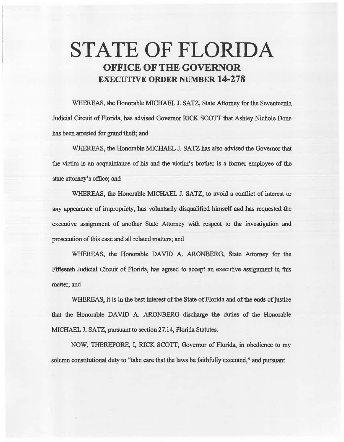# STATE OF FLORIDA OFFICE OF THE GOVERNOR EXECUTIVE ORDER NUMBER 14-278

WHEREAS, the Honorable MICHAEL J. SATZ, State Attorney for the Seventeenth Judicial Circuit of Florida, has advised Governor RICK SCOTT that Ashley Nichole Done has been arrested for grand theft; and

WHEREAS, the Honorable MICHAEL J. SATZ has also advised the Governor that the victim is an acquaintance of his and the victim's brother is a fonner employee of the state attorney's office; and

WHEREAS, the Honorable MICHAEL J. SATZ, to avoid a conflict of interest or any appearance of impropriety, has voluntarily disqualified himself and has requested the executive assignment of another State Attorney with respect to the investigation and prosecution of this case and all related matters; and

WHEREAS, the Honorable DAVID A. ARONBERG, State Attorney for the Fifteenth Judicial Circuit of Florida, has agreed to accept an executive assignment in this matter; and

WHEREAS, it is in the best interest of the State of Florida and of the ends of justice that the Honorable DAVID A. ARONBERG discharge the duties of the Honorable MICHAEL J. SATZ, pursuant to section 27.14, Florida Statutes.

NOW, THEREFORE, I, RICK SCOTT, Governor of Florida, in obedience to my solemn constitutional duty to "take care that the laws be faithfully executed," and pursuant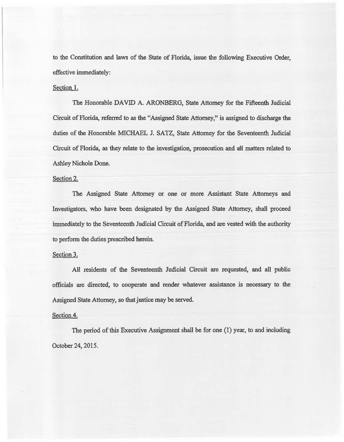to the Constitution and laws of the State of Florida, issue the following Executive Order, effective immediately:

### Section I.

The Honorable DAVID A. ARONBERG, State Attorney for the Fifteenth fadicial Circuit of Florida, referred to as the "Assigned State Attorney," is assigned to discharge the duties of the Honorable MICHAEL J. SATZ, State Attorney for the Seventeenth Judicial Circuit of Florida, as they relate to the investigation, prosecution and aH matters related to Ashley Nichole Done.

## Section 2.

The Assigned State Attorney or one or more Assistant State Attorneys and Investigators, who have been designated by the Assigned State Attorney, shali proceed immediately to the Seventeenth Judicial Circuit of Florida, and are vested with the authority to perfonn the duties prescribed herein.

## Section 3.

All residents of the Seventeenth Judicial Circuit are requested, and all public officials are directed, to cooperate and render whatever assistance is necessary to the Assigned State Attorney, so that justice may be served.

### Section 4.

The period of this Executive Assignment shall be for one (1) year, to and including October24, 2015.